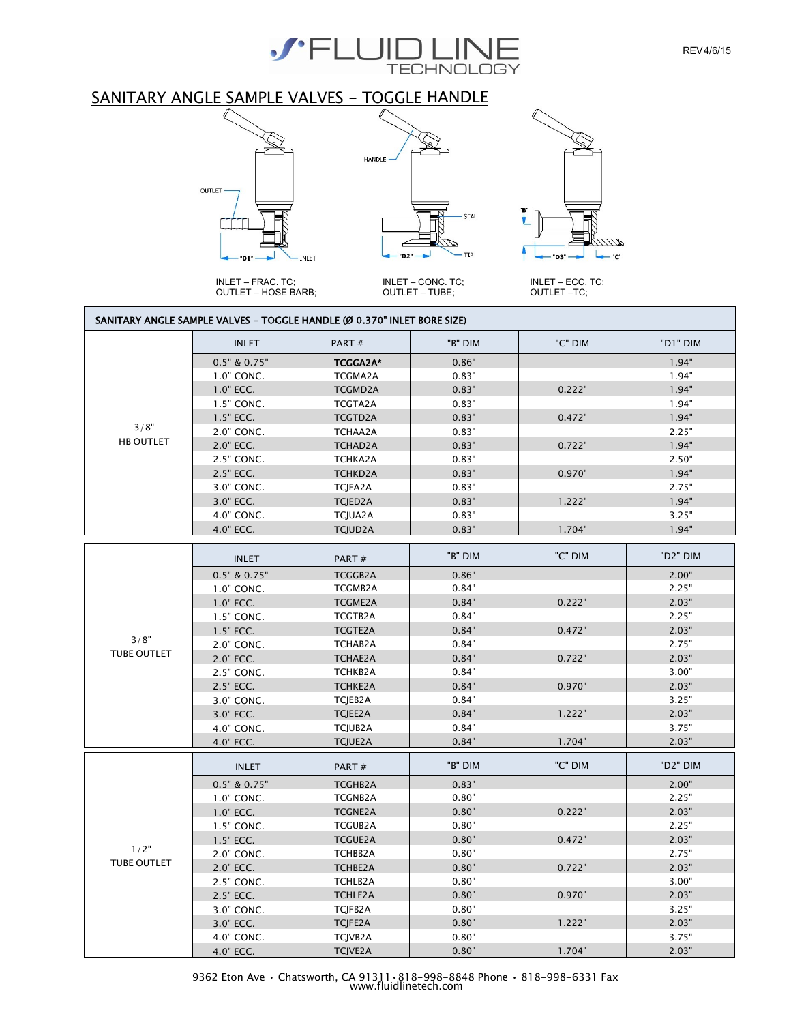

# SANITARY ANGLE SAMPLE VALVES - TOGGLE HANDLE



INLET – FRAC. TC; OUTLET – HOSE BARB;



INLET – CONC. TC; OUTLET – TUBE;



f

INLET – ECC. TC; OUTLET –TC;

#### SANITARY ANGLE SAMPLE VALVES - TOGGLE HANDLE (Ø 0.370" INLET BORE SIZE)

|                            | <b>INLET</b>     | PART#           | "B" DIM | "C" DIM | "D1" DIM |
|----------------------------|------------------|-----------------|---------|---------|----------|
|                            | $0.5"$ & $0.75"$ | <b>TCGGA2A*</b> | 0.86"   |         | 1.94"    |
|                            | 1.0" CONC.       | TCGMA2A         | 0.83"   |         | 1.94"    |
|                            | $1.0"$ ECC.      | <b>TCGMD2A</b>  | 0.83"   | 0.222"  | 1.94"    |
|                            | 1.5" CONC.       | TCGTA2A         | 0.83"   |         | 1.94"    |
|                            | 1.5" ECC.        | <b>TCGTD2A</b>  | 0.83"   | 0.472"  | 1.94"    |
| 3/8"                       | 2.0" CONC.       | TCHAA2A         | 0.83"   |         | 2.25"    |
| <b>HB OUTLET</b>           | 2.0" ECC.        | TCHAD2A         | 0.83"   | 0.722"  | 1.94"    |
|                            | 2.5" CONC.       | <b>TCHKA2A</b>  | 0.83"   |         | 2.50"    |
|                            | 2.5" ECC.        | TCHKD2A         | 0.83"   | 0.970"  | 1.94"    |
|                            | 3.0" CONC.       | TCJEA2A         | 0.83"   |         | 2.75"    |
|                            | 3.0" ECC.        | TCJED2A         | 0.83"   | 1.222"  | 1.94"    |
|                            | 4.0" CONC.       | TCJUA2A         | 0.83"   |         | 3.25"    |
|                            | 4.0" ECC.        | <b>TCJUD2A</b>  | 0.83"   | 1.704"  | 1.94"    |
|                            |                  |                 |         |         |          |
|                            | <b>INLET</b>     | PART#           | "B" DIM | "C" DIM | "D2" DIM |
|                            | $0.5"$ & $0.75"$ | <b>TCGGB2A</b>  | 0.86"   |         | 2.00"    |
|                            | 1.0" CONC.       | <b>TCGMB2A</b>  | 0.84"   |         | 2.25"    |
|                            | 1.0" ECC.        | <b>TCGME2A</b>  | 0.84"   | 0.222"  | 2.03"    |
|                            | 1.5" CONC.       | TCGTB2A         | 0.84"   |         | 2.25"    |
|                            | 1.5" ECC.        | <b>TCGTE2A</b>  | 0.84"   | 0.472"  | 2.03"    |
| 3/8"                       | 2.0" CONC.       | TCHAB2A         | 0.84"   |         | 2.75"    |
| <b>TUBE OUTLET</b>         | 2.0" ECC.        | <b>TCHAE2A</b>  | 0.84"   | 0.722"  | 2.03"    |
|                            | 2.5" CONC.       | TCHKB2A         | 0.84"   |         | 3.00"    |
|                            | 2.5" ECC.        | <b>TCHKE2A</b>  | 0.84"   | 0.970"  | 2.03"    |
|                            | 3.0" CONC.       | TCJEB2A         | 0.84"   |         | 3.25"    |
|                            | 3.0" ECC.        | TCJEE2A         | 0.84"   | 1.222"  | 2.03"    |
|                            | 4.0" CONC.       | TCJUB2A         | 0.84"   |         | 3.75"    |
|                            | 4.0" ECC.        | TCJUE2A         | 0.84"   | 1.704"  | 2.03"    |
|                            | <b>INLET</b>     | PART#           | "B" DIM | "C" DIM | "D2" DIM |
|                            | $0.5"$ & $0.75"$ | TCGHB2A         | 0.83"   |         | 2.00"    |
|                            | 1.0" CONC.       | <b>TCGNB2A</b>  | 0.80"   |         | 2.25"    |
| 1/2"<br><b>TUBE OUTLET</b> | $1.0"$ ECC.      | <b>TCGNE2A</b>  | 0.80"   | 0.222"  | 2.03"    |
|                            | 1.5" CONC.       | <b>TCGUB2A</b>  | 0.80"   |         | 2.25"    |
|                            | 1.5" ECC.        | <b>TCGUE2A</b>  | 0.80"   | 0.472"  | 2.03"    |
|                            | 2.0" CONC.       | TCHBB2A         | 0.80"   |         | 2.75"    |
|                            | 2.0" ECC.        | <b>TCHBE2A</b>  | 0.80"   | 0.722"  | 2.03"    |
|                            | 2.5" CONC.       | TCHLB2A         | 0.80"   |         | 3.00"    |
|                            | 2.5" ECC.        | <b>TCHLE2A</b>  | 0.80"   | 0.970"  | 2.03"    |
|                            | 3.0" CONC.       | TCJFB2A         | 0.80"   |         | 3.25"    |
|                            | 3.0" ECC.        | TCJFE2A         | 0.80"   | 1.222"  | 2.03"    |
|                            | 4.0" CONC.       | TCJVB2A         | 0.80"   |         | 3.75"    |
|                            | 4.0" ECC.        | <b>TCJVE2A</b>  | 0.80"   | 1.704"  | 2.03"    |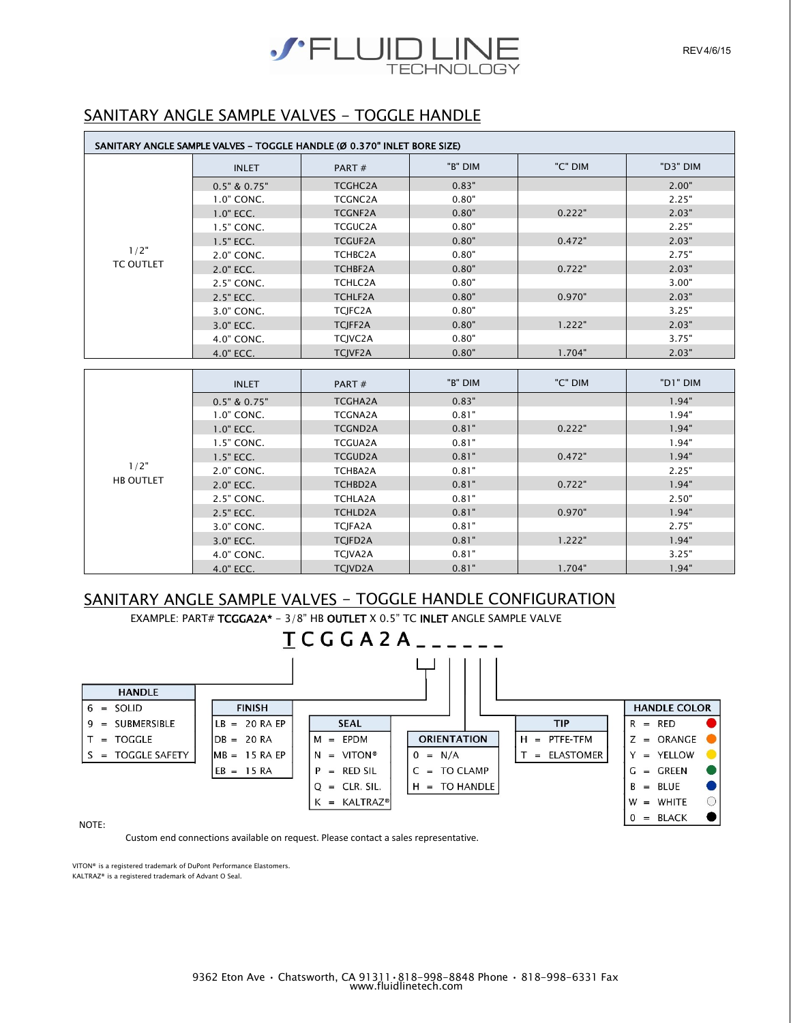

## SANITARY ANGLE SAMPLE VALVES - TOGGLE HANDLE

| SANITARY ANGLE SAMPLE VALVES - TOGGLE HANDLE (Ø 0.370" INLET BORE SIZE) |                  |                |         |         |          |
|-------------------------------------------------------------------------|------------------|----------------|---------|---------|----------|
|                                                                         | <b>INLET</b>     | PART#          | "B" DIM | "C" DIM | "D3" DIM |
|                                                                         | $0.5"$ & $0.75"$ | TCGHC2A        | 0.83"   |         | 2.00"    |
|                                                                         | 1.0" CONC.       | TCGNC2A        | 0.80"   |         | 2.25"    |
|                                                                         | $1.0"$ ECC.      | <b>TCGNF2A</b> | 0.80"   | 0.222"  | 2.03"    |
|                                                                         | 1.5" CONC.       | <b>TCGUC2A</b> | 0.80"   |         | 2.25"    |
|                                                                         | $1.5"$ ECC.      | <b>TCGUF2A</b> | 0.80"   | 0.472"  | 2.03"    |
| 1/2"                                                                    | 2.0" CONC.       | TCHBC2A        | 0.80"   |         | 2.75"    |
| <b>TC OUTLET</b>                                                        | 2.0" ECC.        | TCHBF2A        | 0.80"   | 0.722"  | 2.03"    |
|                                                                         | 2.5" CONC.       | TCHLC2A        | 0.80"   |         | 3.00"    |
|                                                                         | 2.5" ECC.        | TCHLF2A        | 0.80"   | 0.970"  | 2.03"    |
|                                                                         | 3.0" CONC.       | TCJFC2A        | 0.80"   |         | 3.25"    |
|                                                                         | 3.0" ECC.        | TCJFF2A        | 0.80"   | 1.222"  | 2.03"    |
|                                                                         | 4.0" CONC.       | TCJVC2A        | 0.80"   |         | 3.75"    |
|                                                                         | 4.0" ECC.        | <b>TCJVF2A</b> | 0.80"   | 1.704"  | 2.03"    |

|                  | <b>INLET</b>     | PART $#$       | "B" DIM | "C" DIM | "D1" DIM |
|------------------|------------------|----------------|---------|---------|----------|
|                  | $0.5"$ & $0.75"$ | <b>TCGHA2A</b> | 0.83"   |         | 1.94"    |
|                  | 1.0" CONC.       | <b>TCGNA2A</b> | 0.81"   |         | 1.94"    |
|                  | $1.0"$ ECC.      | <b>TCGND2A</b> | 0.81"   | 0.222"  | 1.94"    |
|                  | 1.5" CONC.       | <b>TCGUA2A</b> | 0.81"   |         | 1.94"    |
|                  | 1.5" ECC.        | <b>TCGUD2A</b> | 0.81"   | 0.472"  | 1.94"    |
| 1/2"             | 2.0" CONC.       | TCHBA2A        | 0.81"   |         | 2.25"    |
| <b>HB OUTLET</b> | 2.0" ECC.        | TCHBD2A        | 0.81"   | 0.722"  | 1.94"    |
|                  | 2.5" CONC.       | <b>TCHLA2A</b> | 0.81"   |         | 2.50"    |
|                  | 2.5" ECC.        | <b>TCHLD2A</b> | 0.81"   | 0.970"  | 1.94"    |
|                  | 3.0" CONC.       | <b>TCIFA2A</b> | 0.81"   |         | 2.75"    |
|                  | 3.0" ECC.        | TCJFD2A        | 0.81"   | 1.222"  | 1.94"    |
|                  | 4.0" CONC.       | TCJVA2A        | 0.81"   |         | 3.25"    |
|                  | 4.0" ECC.        | <b>TCJVD2A</b> | 0.81"   | 1.704"  | 1.94"    |

## SANITARY ANGLE SAMPLE VALVES - TOGGLE HANDLE CONFIGURATION EXAMPLE: PART# TCGGA2A\* - 3/8" HB OUTLET X 0.5" TC INLET ANGLE SAMPLE VALVE

 $TCGGA2A$ <sub>--</sub> **HANDLE**  $6 = SOLID$ **FINISH** 9 = SUBMERSIBLE  $LB = 20 RA EP$ **SEAL TIP**  $M = EPDM$  $T = TOGGLE$  $DB = 20 RA$ **ORIENTATION**  $H = PTFE-TFM$ S = TOGGLE SAFETY  $MB = 15 RA EP$  $N = VITON$ <sup>®</sup>  $T = ELASTOMER$  $0 = N/A$  $EB = 15 RA$  $P = RED SIL$  $C = TO CLAMP$  $Q = CLR$ . SIL.  $H = TO HANDLE$  $K = KALTRAZ^{\circ}$ 

|   |     | <b>HANDLE COLOR</b> |  |
|---|-----|---------------------|--|
| R |     | <b>RED</b>          |  |
| 7 |     | ORANGE              |  |
| Υ | $=$ | YELLOW              |  |
| G |     | GREEN               |  |
| R |     | - BI UF             |  |
| w |     | WHITF               |  |
|   |     | <b>BLACK</b>        |  |

NOTE:

Custom end connections available on request. Please contact a sales representative.

VITON® is a registered trademark of DuPont Performance Elastomers. KALTRAZ® is a registered trademark of Advant O Seal.